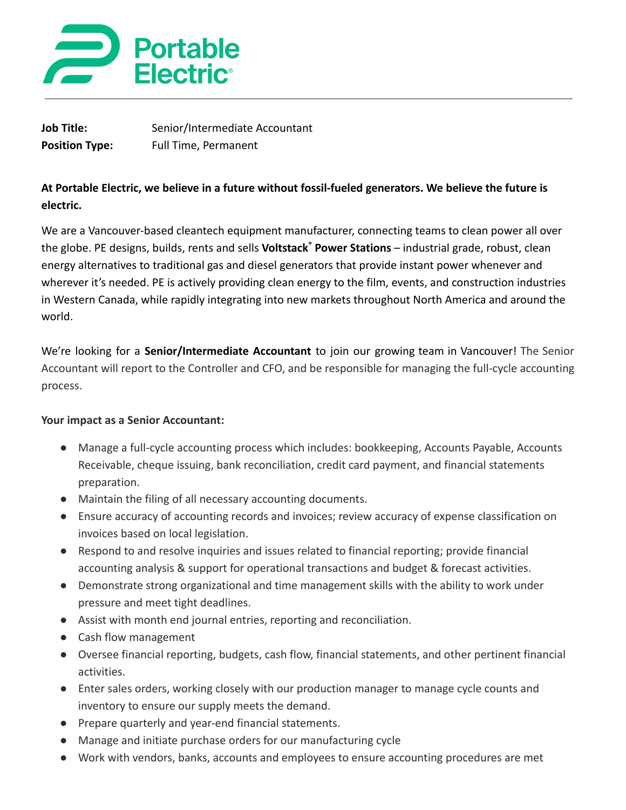

| Job Title:            | Senior/Intermediate Accountant |
|-----------------------|--------------------------------|
| <b>Position Type:</b> | <b>Full Time, Permanent</b>    |

# **At Portable Electric, we believe in a future without fossil-fueled generators. We believe the future is electric.**

We are a Vancouver-based cleantech equipment manufacturer, connecting teams to clean power all over the globe. PE designs, builds, rents and sells **Voltstack® Power Stations** – industrial grade, robust, clean energy alternatives to traditional gas and diesel generators that provide instant power whenever and wherever it's needed. PE is actively providing clean energy to the film, events, and construction industries in Western Canada, while rapidly integrating into new markets throughout North America and around the world.

We're looking for a **Senior/Intermediate Accountant** to join our growing team in Vancouver! The Senior Accountant will report to the Controller and CFO, and be responsible for managing the full-cycle accounting process.

### **Your impact as a Senior Accountant:**

- Manage a full-cycle accounting process which includes: bookkeeping, Accounts Payable, Accounts Receivable, cheque issuing, bank reconciliation, credit card payment, and financial statements preparation.
- Maintain the filing of all necessary accounting documents.
- Ensure accuracy of accounting records and invoices; review accuracy of expense classification on invoices based on local legislation.
- Respond to and resolve inquiries and issues related to financial reporting; provide financial accounting analysis & support for operational transactions and budget & forecast activities.
- Demonstrate strong organizational and time management skills with the ability to work under pressure and meet tight deadlines.
- Assist with month end journal entries, reporting and reconciliation.
- Cash flow management
- Oversee financial reporting, budgets, cash flow, financial statements, and other pertinent financial activities.
- Enter sales orders, working closely with our production manager to manage cycle counts and inventory to ensure our supply meets the demand.
- Prepare quarterly and year-end financial statements.
- Manage and initiate purchase orders for our manufacturing cycle
- Work with vendors, banks, accounts and employees to ensure accounting procedures are met